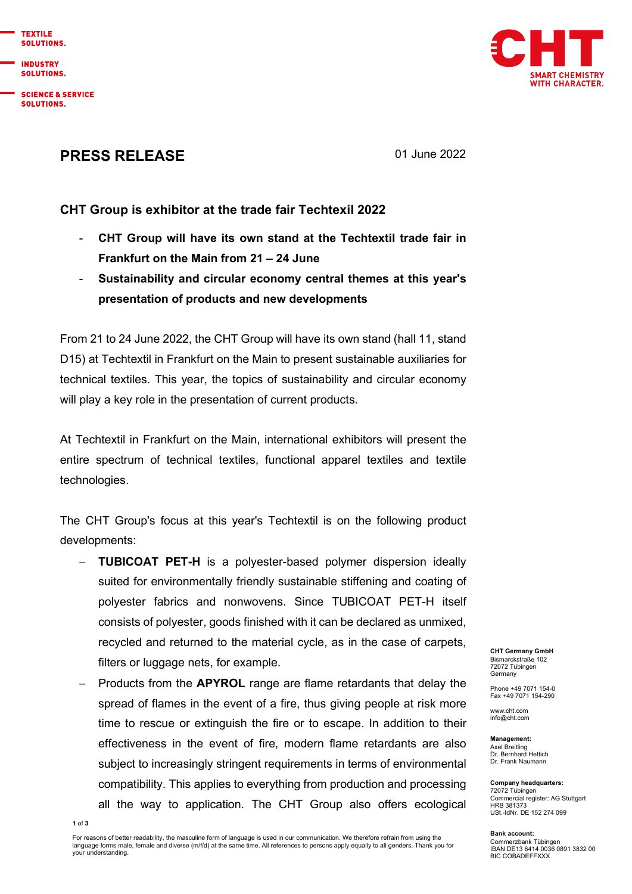

**INDUSTRY SOLUTIONS.** 

**SCIENCE & SERVICE** SOLUTIONS.



## PRESS RELEASE 01 June 2022

## CHT Group is exhibitor at the trade fair Techtexil 2022

- CHT Group will have its own stand at the Techtextil trade fair in Frankfurt on the Main from 21 – 24 June
- Sustainability and circular economy central themes at this year's presentation of products and new developments

From 21 to 24 June 2022, the CHT Group will have its own stand (hall 11, stand D15) at Techtextil in Frankfurt on the Main to present sustainable auxiliaries for technical textiles. This year, the topics of sustainability and circular economy will play a key role in the presentation of current products.

At Techtextil in Frankfurt on the Main, international exhibitors will present the entire spectrum of technical textiles, functional apparel textiles and textile technologies.

The CHT Group's focus at this year's Techtextil is on the following product developments:

- TUBICOAT PET-H is a polyester-based polymer dispersion ideally suited for environmentally friendly sustainable stiffening and coating of polyester fabrics and nonwovens. Since TUBICOAT PET-H itself consists of polyester, goods finished with it can be declared as unmixed, recycled and returned to the material cycle, as in the case of carpets, filters or luggage nets, for example.
- Products from the APYROL range are flame retardants that delay the spread of flames in the event of a fire, thus giving people at risk more time to rescue or extinguish the fire or to escape. In addition to their effectiveness in the event of fire, modern flame retardants are also subject to increasingly stringent requirements in terms of environmental compatibility. This applies to everything from production and processing all the way to application. The CHT Group also offers ecological

CHT Germany GmbH Bismarckstraße 102 72072 Tübingen Germany

Phone +49 7071 154-0 Fax +49 7071 154-290

www.cht.com info@cht.com

Management: Axel Breitling Dr. Bernhard Hettich Dr. Frank Naumann

Company headquarters: 72072 Tübingen Commercial register: AG Stuttgart HRB 381373 USt.-IdNr. DE 152 274 099

Bank account: Commerzbank Tübingen IBAN DE13 6414 0036 0891 3832 00 BIC COBADEFFXXX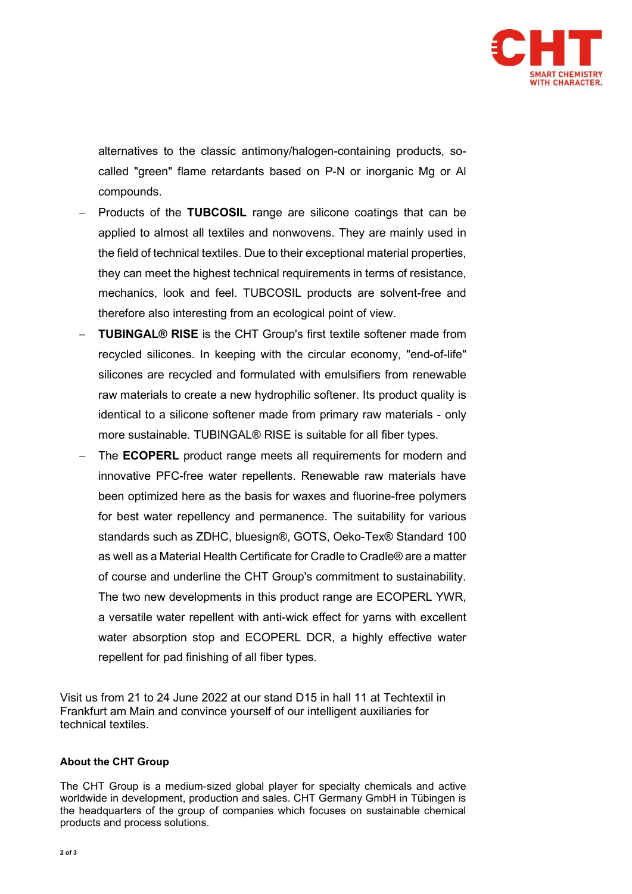

alternatives to the classic antimony/halogen-containing products, socalled "green" flame retardants based on P-N or inorganic Mg or Al compounds.

- Products of the TUBCOSIL range are silicone coatings that can be applied to almost all textiles and nonwovens. They are mainly used in the field of technical textiles. Due to their exceptional material properties, they can meet the highest technical requirements in terms of resistance, mechanics, look and feel. TUBCOSIL products are solvent-free and therefore also interesting from an ecological point of view.
- TUBINGAL® RISE is the CHT Group's first textile softener made from recycled silicones. In keeping with the circular economy, "end-of-life" silicones are recycled and formulated with emulsifiers from renewable raw materials to create a new hydrophilic softener. Its product quality is identical to a silicone softener made from primary raw materials - only more sustainable. TUBINGAL® RISE is suitable for all fiber types.
- The ECOPERL product range meets all requirements for modern and innovative PFC-free water repellents. Renewable raw materials have been optimized here as the basis for waxes and fluorine-free polymers for best water repellency and permanence. The suitability for various standards such as ZDHC, bluesign®, GOTS, Oeko-Tex® Standard 100 as well as a Material Health Certificate for Cradle to Cradle® are a matter of course and underline the CHT Group's commitment to sustainability. The two new developments in this product range are ECOPERL YWR, a versatile water repellent with anti-wick effect for yarns with excellent water absorption stop and ECOPERL DCR, a highly effective water repellent for pad finishing of all fiber types.

Visit us from 21 to 24 June 2022 at our stand D15 in hall 11 at Techtextil in Frankfurt am Main and convince yourself of our intelligent auxiliaries for technical textiles.

## About the CHT Group

The CHT Group is a medium-sized global player for specialty chemicals and active worldwide in development, production and sales. CHT Germany GmbH in Tübingen is the headquarters of the group of companies which focuses on sustainable chemical products and process solutions.